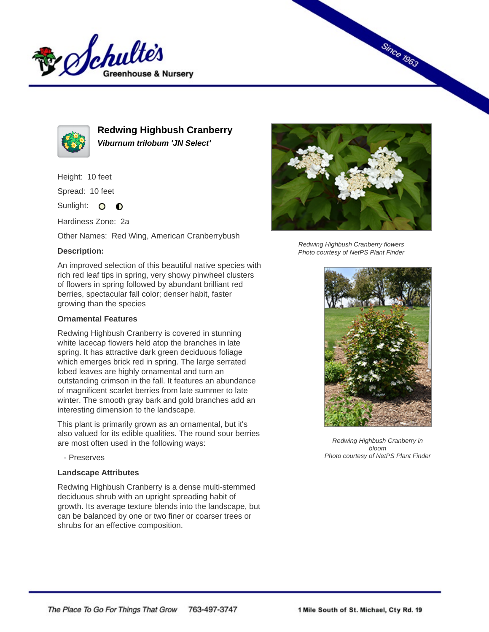



**Redwing Highbush Cranberry Viburnum trilobum 'JN Select'**

Height: 10 feet

Spread: 10 feet

Sunlight: O **O** 

Hardiness Zone: 2a

Other Names: Red Wing, American Cranberrybush

## **Description:**

An improved selection of this beautiful native species with rich red leaf tips in spring, very showy pinwheel clusters of flowers in spring followed by abundant brilliant red berries, spectacular fall color; denser habit, faster growing than the species

## **Ornamental Features**

Redwing Highbush Cranberry is covered in stunning white lacecap flowers held atop the branches in late spring. It has attractive dark green deciduous foliage which emerges brick red in spring. The large serrated lobed leaves are highly ornamental and turn an outstanding crimson in the fall. It features an abundance of magnificent scarlet berries from late summer to late winter. The smooth gray bark and gold branches add an interesting dimension to the landscape.

This plant is primarily grown as an ornamental, but it's also valued for its edible qualities. The round sour berries are most often used in the following ways:

- Preserves

## **Landscape Attributes**

Redwing Highbush Cranberry is a dense multi-stemmed deciduous shrub with an upright spreading habit of growth. Its average texture blends into the landscape, but can be balanced by one or two finer or coarser trees or shrubs for an effective composition.



**Since 1963** 

Redwing Highbush Cranberry flowers Photo courtesy of NetPS Plant Finder



Redwing Highbush Cranberry in bloom Photo courtesy of NetPS Plant Finder